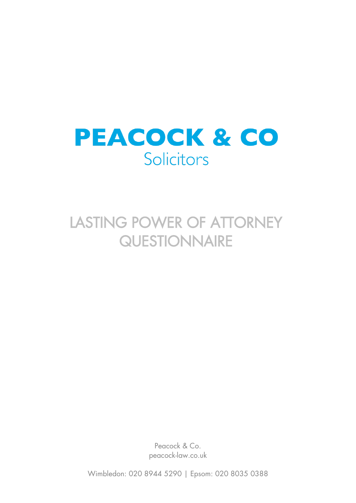

# LASTING POWER OF ATTORNEY **QUESTIONNAIRE**

Peacock & Co. peacock-law.co.uk

Wimbledon: 020 8944 5290 | Epsom: 020 8035 0388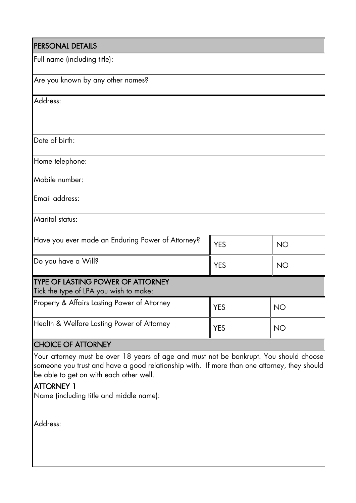| PERSONAL DETAILS                                  |            |           |
|---------------------------------------------------|------------|-----------|
| Full name (including title):                      |            |           |
| Are you known by any other names?                 |            |           |
| Address:                                          |            |           |
|                                                   |            |           |
| Date of birth:                                    |            |           |
| Home telephone:                                   |            |           |
| Mobile number:                                    |            |           |
| Email address:                                    |            |           |
| Marital status:                                   |            |           |
| Have you ever made an Enduring Power of Attorney? | <b>YES</b> | <b>NO</b> |
| Do you have a Will?                               | <b>YES</b> | <b>NO</b> |
| <b>TYPE OF LASTING POWER OF ATTORNEY</b>          |            |           |
| Tick the type of LPA you wish to make:            |            |           |
| Property & Affairs Lasting Power of Attorney      | <b>YES</b> | <b>NO</b> |
| Health & Welfare Lasting Power of Attorney        | <b>YES</b> | <b>NO</b> |
| <b>CHOICE OF ATTORNEY</b>                         |            |           |

Your attorney must be over 18 years of age and must not be bankrupt. You should choose someone you trust and have a good relationship with. If more than one attorney, they should be able to get on with each other well.

## **ATTORNEY 1**

Name (including title and middle name):

Address: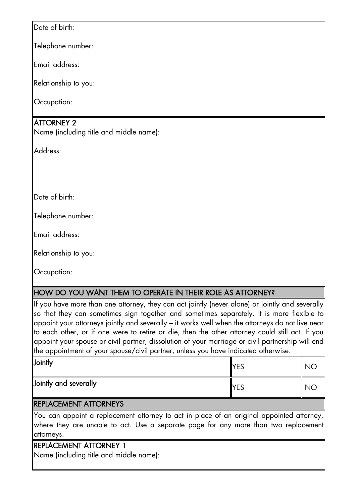Date of birth:

Telephone number:

Email address:

Relationship to you:

Occupation:

## ATTORNEY 2

Name (including title and middle name):

Address:

Date of birth<sup>.</sup>

Telephone number:

Email address:

Relationship to you:

Occupation:

## HOW DO YOU WANT THEM TO OPERATE IN THEIR ROLE AS ATTORNEY?

If you have more than one attorney, they can act jointly (never alone) or jointly and severally so that they can sometimes sign together and sometimes separately. It is more flexible to appoint your attorneys jointly and severally – it works well when the attorneys do not live near to each other, or if one were to retire or die, then the other attorney could still act. If you appoint your spouse or civil partner, dissolution of your marriage or civil partnership will end the appointment of your spouse/civil partner, unless you have indicated otherwise.

| Jointly               | <b>YES</b>  |  |
|-----------------------|-------------|--|
| Jointly and severally | <b>IYES</b> |  |

#### REPLACEMENT ATTORNEYS

You can appoint a replacement attorney to act in place of an original appointed attorney, where they are unable to act. Use a separate page for any more than two replacement attorneys.

## REPLACEMENT ATTORNEY 1

Name (including title and middle name):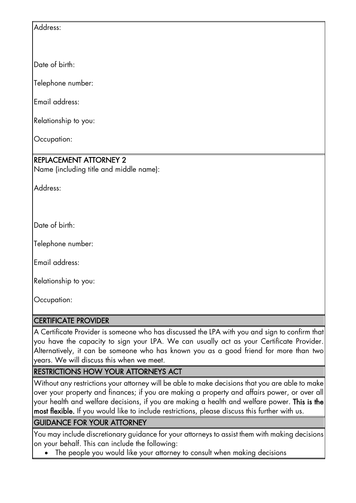Address:

Date of birth:

Telephone number:

Email address:

Relationship to you:

Occupation:

# REPLACEMENT ATTORNEY 2

Name (including title and middle name):

Address:

Date of birth:

Telephone number:

Email address:

Relationship to you:

Occupation:

## CERTIFICATE PROVIDER

A Certificate Provider is someone who has discussed the LPA with you and sign to confirm that you have the capacity to sign your LPA. We can usually act as your Certificate Provider. Alternatively, it can be someone who has known you as a good friend for more than two years. We will discuss this when we meet.

# RESTRICTIONS HOW YOUR ATTORNEYS ACT

Without any restrictions your attorney will be able to make decisions that you are able to make over your property and finances; if you are making a property and affairs power, or over all your health and welfare decisions, if you are making a health and welfare power. This is the most flexible. If you would like to include restrictions, please discuss this further with us.

## GUIDANCE FOR YOUR ATTORNEY

You may include discretionary guidance for your attorneys to assist them with making decisions on your behalf. This can include the following:

The people you would like your attorney to consult when making decisions